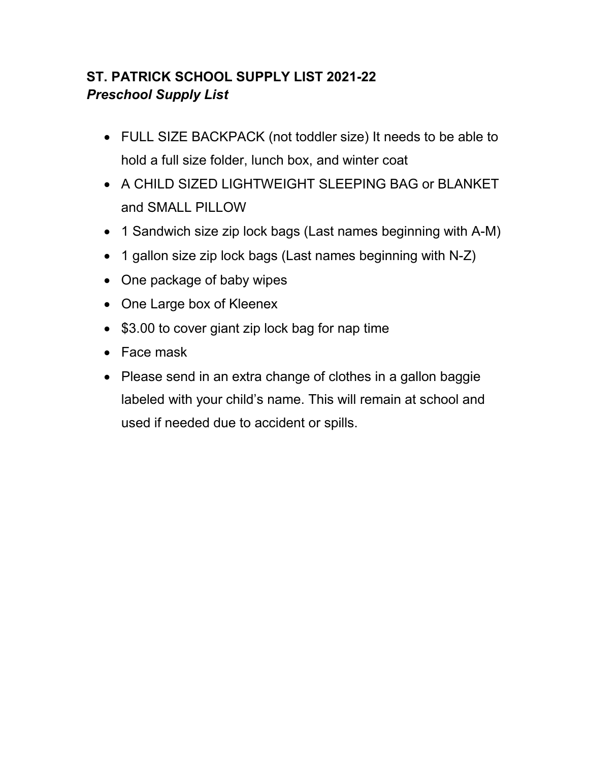# **ST. PATRICK SCHOOL SUPPLY LIST 2021-22**  *Preschool Supply List*

- FULL SIZE BACKPACK (not toddler size) It needs to be able to hold a full size folder, lunch box, and winter coat
- A CHILD SIZED LIGHTWEIGHT SLEEPING BAG or BLANKET and SMALL PILLOW
- 1 Sandwich size zip lock bags (Last names beginning with A-M)
- 1 gallon size zip lock bags (Last names beginning with N-Z)
- One package of baby wipes
- One Large box of Kleenex
- \$3.00 to cover giant zip lock bag for nap time
- Face mask
- Please send in an extra change of clothes in a gallon baggie labeled with your child's name. This will remain at school and used if needed due to accident or spills.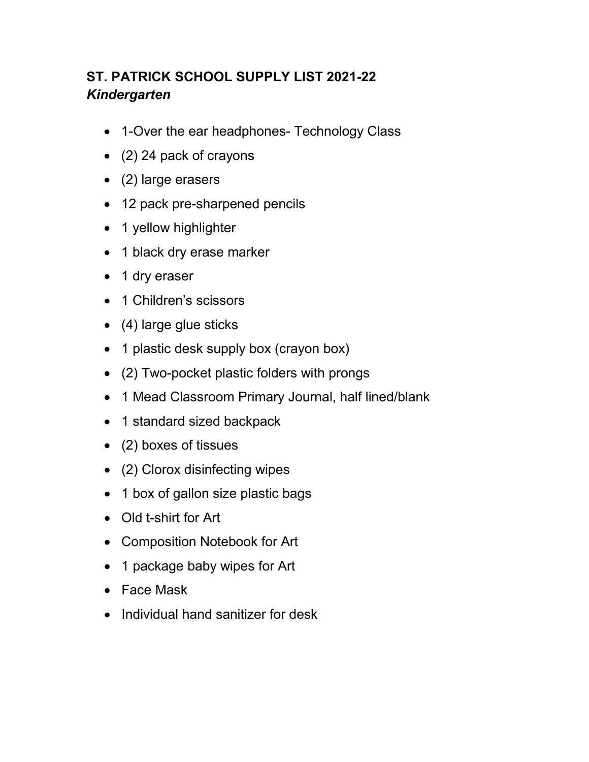# **ST. PATRICK SCHOOL SUPPLY LIST 2021-22** *Kindergarten*

- 1-Over the ear headphones- Technology Class
- (2) 24 pack of crayons
- (2) large erasers
- 12 pack pre-sharpened pencils
- 1 yellow highlighter
- 1 black dry erase marker
- 1 dry eraser
- 1 Children's scissors
- (4) large glue sticks
- 1 plastic desk supply box (crayon box)
- (2) Two-pocket plastic folders with prongs
- 1 Mead Classroom Primary Journal, half lined/blank
- 1 standard sized backpack
- (2) boxes of tissues
- (2) Clorox disinfecting wipes
- 1 box of gallon size plastic bags
- Old t-shirt for Art
- Composition Notebook for Art
- 1 package baby wipes for Art
- Face Mask
- Individual hand sanitizer for desk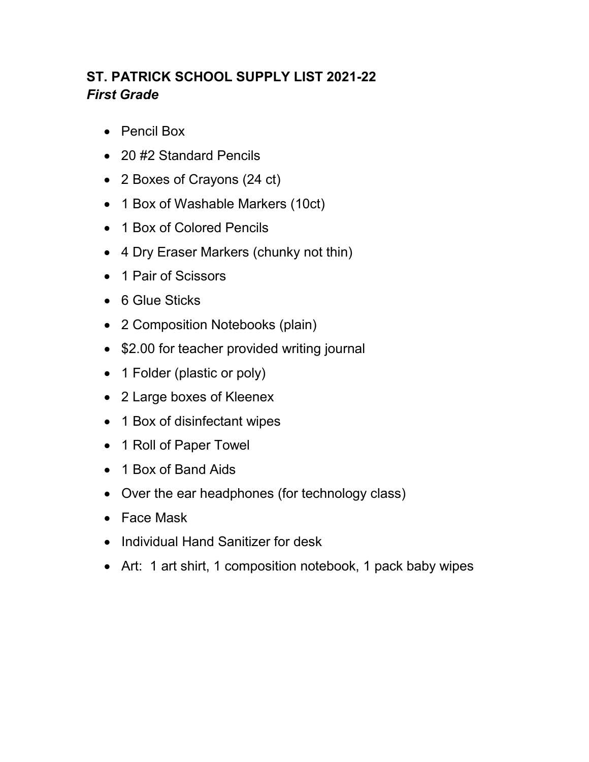# **ST. PATRICK SCHOOL SUPPLY LIST 2021-22** *First Grade*

- Pencil Box
- 20 #2 Standard Pencils
- 2 Boxes of Crayons (24 ct)
- 1 Box of Washable Markers (10ct)
- 1 Box of Colored Pencils
- 4 Dry Eraser Markers (chunky not thin)
- 1 Pair of Scissors
- 6 Glue Sticks
- 2 Composition Notebooks (plain)
- \$2.00 for teacher provided writing journal
- 1 Folder (plastic or poly)
- 2 Large boxes of Kleenex
- 1 Box of disinfectant wipes
- 1 Roll of Paper Towel
- 1 Box of Band Aids
- Over the ear headphones (for technology class)
- Face Mask
- Individual Hand Sanitizer for desk
- Art: 1 art shirt, 1 composition notebook, 1 pack baby wipes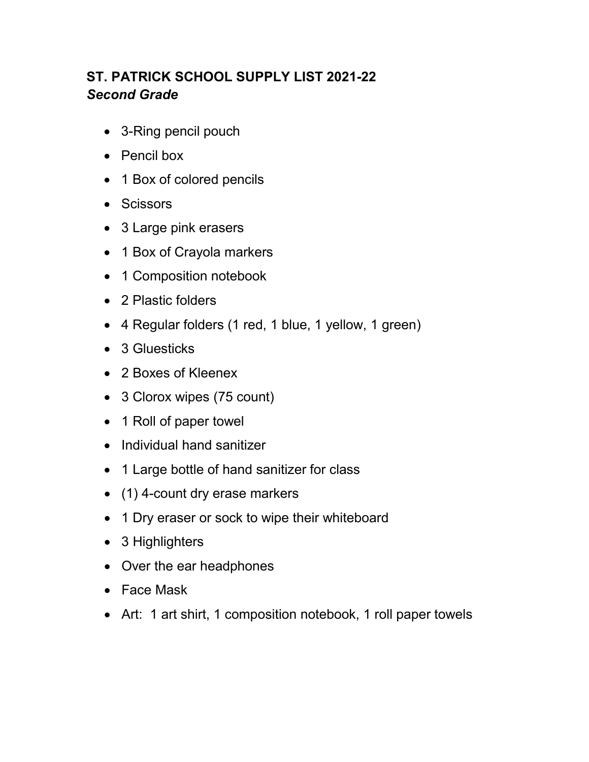# **ST. PATRICK SCHOOL SUPPLY LIST 2021-22** *Second Grade*

- 3-Ring pencil pouch
- Pencil box
- 1 Box of colored pencils
- Scissors
- 3 Large pink erasers
- 1 Box of Crayola markers
- 1 Composition notebook
- 2 Plastic folders
- 4 Regular folders (1 red, 1 blue, 1 yellow, 1 green)
- 3 Gluesticks
- 2 Boxes of Kleenex
- 3 Clorox wipes (75 count)
- 1 Roll of paper towel
- Individual hand sanitizer
- 1 Large bottle of hand sanitizer for class
- (1) 4-count dry erase markers
- 1 Dry eraser or sock to wipe their whiteboard
- 3 Highlighters
- Over the ear headphones
- Face Mask
- Art: 1 art shirt, 1 composition notebook, 1 roll paper towels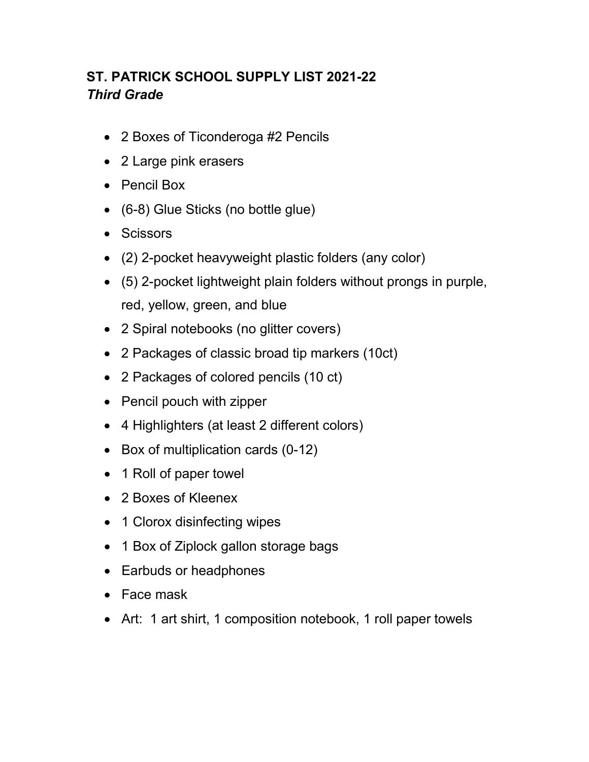# **ST. PATRICK SCHOOL SUPPLY LIST 2021-22** *Third Grade*

- 2 Boxes of Ticonderoga #2 Pencils
- 2 Large pink erasers
- Pencil Box
- (6-8) Glue Sticks (no bottle glue)
- Scissors
- (2) 2-pocket heavyweight plastic folders (any color)
- (5) 2-pocket lightweight plain folders without prongs in purple, red, yellow, green, and blue
- 2 Spiral notebooks (no glitter covers)
- 2 Packages of classic broad tip markers (10ct)
- 2 Packages of colored pencils (10 ct)
- Pencil pouch with zipper
- 4 Highlighters (at least 2 different colors)
- Box of multiplication cards (0-12)
- 1 Roll of paper towel
- 2 Boxes of Kleenex
- 1 Clorox disinfecting wipes
- 1 Box of Ziplock gallon storage bags
- Earbuds or headphones
- Face mask
- Art: 1 art shirt, 1 composition notebook, 1 roll paper towels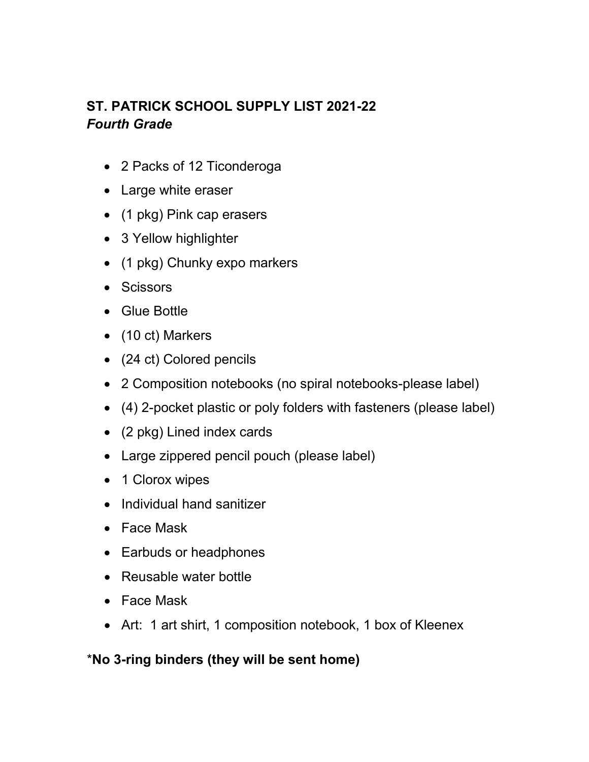# **ST. PATRICK SCHOOL SUPPLY LIST 2021-22** *Fourth Grade*

- 2 Packs of 12 Ticonderoga
- Large white eraser
- (1 pkg) Pink cap erasers
- 3 Yellow highlighter
- (1 pkg) Chunky expo markers
- Scissors
- Glue Bottle
- (10 ct) Markers
- (24 ct) Colored pencils
- 2 Composition notebooks (no spiral notebooks-please label)
- (4) 2-pocket plastic or poly folders with fasteners (please label)
- (2 pkg) Lined index cards
- Large zippered pencil pouch (please label)
- 1 Clorox wipes
- Individual hand sanitizer
- Face Mask
- Earbuds or headphones
- Reusable water bottle
- Face Mask
- Art: 1 art shirt, 1 composition notebook, 1 box of Kleenex

#### \***No 3-ring binders (they will be sent home)**